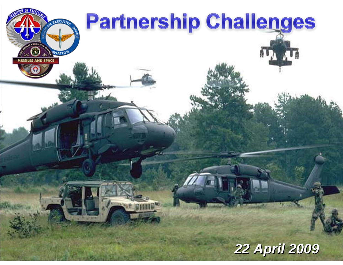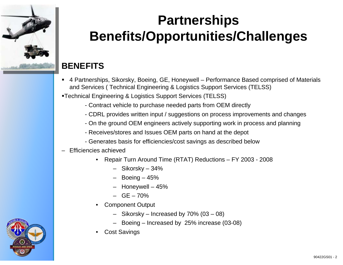

#### **BENEFITS**

- 4 Partnerships, Sikorsky, Boeing, GE, Honeywell Performance Based comprised of Materials and Services ( Technical Engineering & Logistics Support Services (TELSS)
- Technical Engineering & Logistics Support Services (TELSS)
	- Contract vehicle to purchase needed parts from OEM directly
	- CDRL provides written input / suggestions on process improvements and changes
	- On the ground OEM engineers actively supporting work in process and planning
	- Receives/stores and Issues OEM parts on hand at the depot
	- Generates basis for efficiencies/cost savings as described below

#### – Efficiencies achieved

- Repair Turn Around Time (RTAT) Reductions FY 2003 2008
	- Sikorsky 34%
	- $-$  Boeing  $-45%$
	- Honeywell 45%
	- $-$  GE  $-70%$
- Component Output
	- Sikorsky Increased by 70% (03 08)
	- Boeing Increased by 25% increase (03-08)
- **Cost Savings**

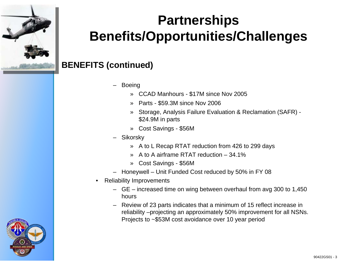

#### **BENEFITS (continued)**

- **Boeing** 
	- » CCAD Manhours \$17M since Nov 2005
	- » Parts \$59.3M since Nov 2006
	- » Storage, Analysis Failure Evaluation & Reclamation (SAFR) \$24.9M in parts
	- » Cost Savings \$56M
- Sikorsky
	- » A to L Recap RTAT reduction from 426 to 299 days
	- » A to A airframe RTAT reduction 34.1%
	- » Cost Savings \$56M
- Honeywell Unit Funded Cost reduced by 50% in FY 08
- Reliability Improvements
	- GE increased time on wing between overhaul from avg 300 to 1,450 hours
	- Review of 23 parts indicates that a minimum of 15 reflect increase in reliability –projecting an approximately 50% improvement for all NSNs. Projects to ~\$53M cost avoidance over 10 year period

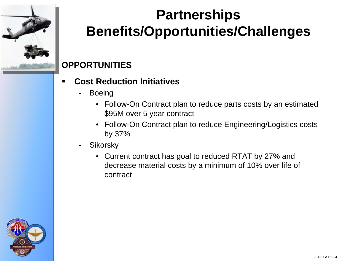

### **OPPORTUNITIES**

- П **Cost Reduction Initiatives**
	- Boeing
		- Follow-On Contract plan to reduce parts costs by an estimated \$95M over 5 year contract
		- Follow-On Contract plan to reduce Engineering/Logistics costs by 37%
	- Sikorsky
		- Current contract has goal to reduced RTAT by 27% and decrease material costs by a minimum of 10% over life of contract